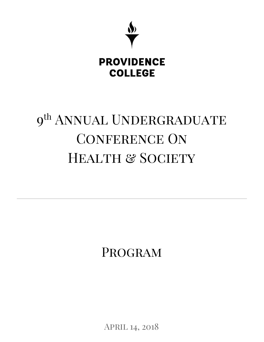

# 9<sup>th</sup> ANNUAL UNDERGRADUATE CONFERENCE ON HEALTH & SOCIETY

Program

April 14, 2018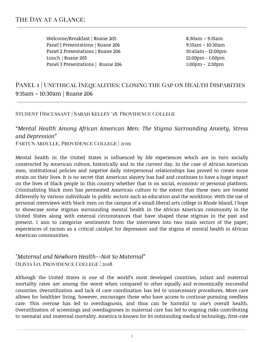## THE DAY AT A GLANCE:

Welcome/Breakfast | Ruane 205 and 19:30am – 9:15am Panel 1 Presentations | Ruane 206 1992 19:15am – 10:30am Panel 2 Presentations | Ruane 206 10:45am - 12:00pm Lunch | Ruane 205 12:00pm - 1:00pm Panel 3 Presentations | Ruane 206 1:00pm - 2:30pm

### PANEL 1 UNETHICAL INEQUALITIES: CLOSING THE GAP ON HEALTH DISPARITIES 9:15am – 10:30am | Ruane 206

#### Student Discussant | Sarah Kelley '18, Providence College

# *"Mental Health Among African American Men: The Stigma Surrounding Anxiety, Stress and Depression"*

Fartun Abdulle, Providence College | 2019

Mental health in the United States is influenced by life experiences which are in turn socially constructed by American culture, historically and in the current day. In the case of African American men, institutional policies and negative daily interpersonal relationships has proved to create some strain on their lives. It is no secret that American slavery has had and continues to have a huge impact on the lives of black people in this country whether that is on social, economic or personal platform. Criminalizing black men has permeated American culture to the extent that these men are treated differently by various individuals in public sectors such as education and the workforce. With the use of personal interviews with black men on the campus of a small liberal arts college in Rhode Island, I hope to showcase some stigmas surrounding mental health in the African American community in the United States along with external circumstances that have shaped those stigmas in the past and present. I aim to categorize sentiments from the interviews into two main sectors of the paper; experiences of racism as a critical catalyst for depression and the stigma of mental health in African American communities.

#### *"Maternal and Newborn Health--Not So Maternal"* Olivia Lo, Providence College | 2018

Although the United States is one of the world's most developed countries, infant and maternal mortality rates are among the worst when compared to other equally and economically successful countries. Overutilization and lack of care coordination has led to unnecessary procedures. More care allows for healthier living, however, encourages those who have access to continue pursuing needless care. This overuse has led to overdiagnosis, and thus can be harmful to one's overall health. Overutilization of screenings and overdiagnoses in maternal care has led to ongoing risks contributing to neonatal and maternal mortality. America is known for its outstanding medical technology, first-rate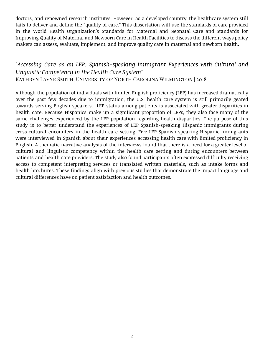doctors, and renowned research institutes. However, as a developed country, the healthcare system still fails to deliver and define the "quality of care." This dissertation will use the standards of care provided in the World Health Organization's Standards for Maternal and Neonatal Care and Standards for Improving Quality of Maternal and Newborn Care in Health Facilities to discuss the different ways policy makers can assess, evaluate, implement, and improve quality care in maternal and newborn health.

#### *"Accessing Care as an LEP: Spanish-speaking Immigrant Experiences with Cultural and Linguistic Competency in the Health Care System"* Kathryn Layne Smith, University of North Carolina Wilmington | 2018

Although the population of individuals with limited English proficiency (LEP) has increased dramatically over the past few decades due to immigration, the U.S. health care system is still primarily geared towards serving English speakers. LEP status among patients is associated with greater disparities in health care. Because Hispanics make up a significant proportion of LEPs, they also face many of the same challenges experienced by the LEP population regarding health disparities. The purpose of this study is to better understand the experiences of LEP Spanish-speaking Hispanic immigrants during cross-cultural encounters in the health care setting. Five LEP Spanish-speaking Hispanic immigrants were interviewed in Spanish about their experiences accessing health care with limited proficiency in English. A thematic narrative analysis of the interviews found that there is a need for a greater level of cultural and linguistic competency within the health care setting and during encounters between patients and health care providers. The study also found participants often expressed difficulty receiving access to competent interpreting services or translated written materials, such as intake forms and health brochures. These findings align with previous studies that demonstrate the impact language and cultural differences have on patient satisfaction and health outcomes.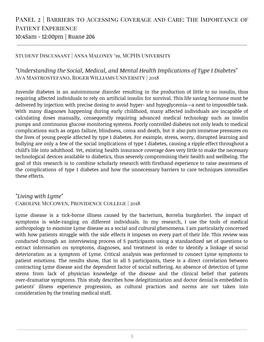# PANEL 2 | BARRIERS TO ACCESSING COVERAGE AND CARE: THE IMPORTANCE OF PATIENT EXPERIENCE 10:45am - 12:00pm | Ruane 206

#### Student Discussant | Anna Maloney '19, MCPHS University

#### *"Understanding the Social, Medical, and Mental Health Implications of Type I Diabetes"* Ava Mastrostefano, Roger Williams University | 2018

Juvenile diabetes is an autoimmune disorder resulting in the production of little to no insulin, thus requiring affected individuals to rely on artificial insulin for survival. This life saving hormone must be delivered by injection with precise dosing to avoid hyper- and hypoglycemia—a next to impossible task. With many diagnoses happening during early childhood, many affected individuals are incapable of calculating doses manually, consequently requiring advanced medical technology such as insulin pumps and continuous glucose monitoring systems. Poorly controlled diabetes not only leads to medical complications such as organ failure, blindness, coma and death, but it also puts immense pressures on the lives of young people affected by type 1 diabetes. For example, stress, worry, disrupted learning and bullying are only a few of the social implications of type 1 diabetes, causing a ripple effect throughout a child's life into adulthood. Yet, existing health insurance coverage does very little to make the necessary technological devices available to diabetics, thus severely compromising their health and wellbeing. The goal of this research is to combine scholarly research with firsthand experience to raise awareness of the complications of type I diabetes and how the unnecessary barriers to care techniques intensifies these effects.

#### *"Living with Lyme"* Caroline McCowen, Providence College | 2018

Lyme disease is a tick-borne illness caused by the bacterium, Borrelia burgdorferi. The impact of symptoms is wide-ranging on different individuals. In my research, I use the tools of medical anthropology to examine Lyme disease as a social and cultural phenomena. I am particularly concerned with how patients struggle with the side effects it imposes on every part of their life. This review was conducted through an interviewing process of 5 participants using a standardized set of questions to extract information on symptoms, diagnoses, and treatment in order to identify a linkage of social deterioration as a symptom of Lyme. Critical analysis was performed to connect Lyme symptoms to patient emotions. The results show, that in all 5 participants, there is a direct correlation between contracting Lyme disease and the dependent factor of social suffering. An absence of detection of Lyme stems from lack of physician knowledge of the disease and the clinical belief that patients over-dramatize symptoms. This study describes how delegitimization and doctor denial is embedded in patients' illness experience progression, as cultural practices and norms are not taken into consideration by the treating medical staff.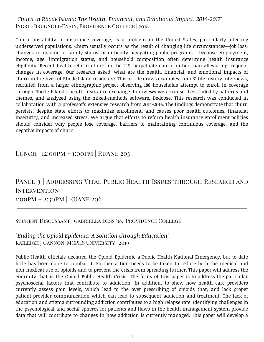#### *"Churn in Rhode Island: The Health, Financial, and Emotional Impact, 2014-2017"* Ingrid Brugnoli-Ensin, Providence College | 2018

Churn, instability in insurance coverage, is a problem in the United States, particularly affecting underserved populations. Churn usually occurs as the result of changing life circumstances—job loss, changes in income or family status, or difficulty navigating public programs— because employment, income, age, immigration status, and household composition often determine health insurance eligibility. Recent health reform efforts in the U.S. perpetuate churn, rather than alleviating frequent changes in coverage. Our research asked: what are the health, financial, and emotional impacts of churn in the lives of Rhode Island residents? This article draws examples from 31 life history interviews, recruited from a larger ethnographic project observing 188 households attempt to enroll in coverage through Rhode Island's health insurance exchange. Interviews were transcribed, coded by patterns and themes, and analyzed using the mixed-methods software, Dedoose. This research was conducted in collaboration with a professor's extensive research from 2014-2016. The findings demonstrate that churn persists, despite state efforts to maximize enrollment, and causes poor health outcomes, financial insecurity, and increased stress. We argue that efforts to reform health insurance enrollment policies should consider why people lose coverage, barriers to maintaining continuous coverage, and the negative impacts of churn.

Lunch | 12:00pm - 1:00pm | Ruane 205

# PANEL 3 | ADDRESSING VITAL PUBLIC HEALTH ISSUES THROUGH RESEARCH AND **INTERVENTION** 1:00pm – 2:30pm | Ruane 206

#### Student Discussant | Gabriella Dess '18, Providence College

#### *"Ending the Opioid Epidemic: A Solution through Education"* Kaileigh J Gannon, MCPHS University | 2019

Public Health officials declared the Opioid Epidemic a Public Health National Emergency, but to date little has been done to combat it. Further action needs to be taken to reduce both the medical and non-medical use of opioids and to prevent the crisis from spreading further. This paper will address the enormity that is the Opioid Public Health Crisis. The focus of this paper is to address the particular psychosocial factors that contribute to addiction. In addition, to show how health care providers currently assess pain levels, which lead to the over prescribing of opioids that, and lack proper patient-provider communication which can lead to subsequent addiction and treatment. The lack of education and stigma surrounding addiction contributes to a high relapse rate. Identifying challenges in the psychological and social spheres for patients and flaws in the health management system provide data that will contribute to changes in how addiction is currently managed. This paper will develop a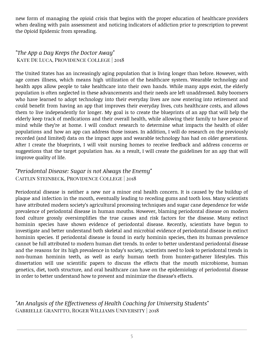new form of managing the opioid crisis that begins with the proper education of healthcare providers when dealing with pain assessment and noticing indicators of addiction prior to prescription to prevent the Opioid Epidemic from spreading.

*"The App a Day Keeps the Doctor Away"* Kate De Luca, Providence College | 2018

The United States has an increasingly aging population that is living longer than before. However, with age comes illness, which means high utilization of the healthcare system. Wearable technology and health apps allow people to take healthcare into their own hands. While many apps exist, the elderly population is often neglected in these advancements and their needs are left unaddressed. Baby boomers who have learned to adopt technology into their everyday lives are now entering into retirement and could benefit from having an app that improves their everyday lives, cuts healthcare costs, and allows them to live independently for longer. My goal is to create the blueprints of an app that will help the elderly keep track of medications and their overall health, while allowing their family to have peace of mind while they're at home. I will conduct research to determine what impacts the health of older populations and how an app can address those issues. In addition, I will do research on the previously recorded (and limited) data on the impact apps and wearable technology has had on older generations. After I create the blueprints, I will visit nursing homes to receive feedback and address concerns or suggestions that the target population has. As a result, I will create the guidelines for an app that will improve quality of life.

#### *"Periodontal Disease: Sugar is not Always the Enemy"* Caitlin Steinbeck, Providence College | 2018

Periodontal disease is neither a new nor a minor oral health concern. It is caused by the buildup of plaque and infection in the mouth, eventually leading to receding gums and tooth loss. Many scientists have attributed modern society's agricultural processing techniques and sugar cane dependence for wide prevalence of periodontal disease in human mouths. However, blaming periodontal disease on modern food culture grossly oversimplifies the true causes and risk factors for the disease. Many extinct hominin species have shown evidence of periodontal disease. Recently, scientists have begun to investigate and better understand both skeletal and microbial evidence of periodontal disease in extinct hominin species. If periodontal disease is found in early hominin species, then its human prevalence cannot be full attributed to modern human diet trends. In order to better understand periodontal disease and the reasons for its high prevalence in today's society, scientists need to look to periodontal trends in non-human hominin teeth, as well as early human teeth from hunter-gatherer lifestyles. This dissertation will use scientific papers to discuss the effects that the mouth microbiome, human genetics, diet, tooth structure, and oral healthcare can have on the epidemiology of periodontal disease in order to better understand how to prevent and minimize the disease's effects.

*"An Analysis of the Effectiveness of Health Coaching for University Students"* Gabrielle Granitto, Roger Williams University | 2018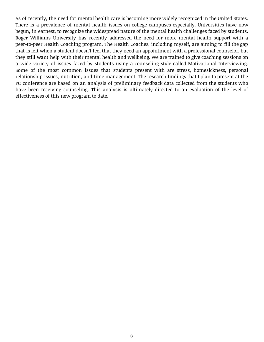As of recently, the need for mental health care is becoming more widely recognized in the United States. There is a prevalence of mental health issues on college campuses especially. Universities have now begun, in earnest, to recognize the widespread nature of the mental health challenges faced by students. Roger Williams University has recently addressed the need for more mental health support with a peer-to-peer Health Coaching program. The Health Coaches, including myself, are aiming to fill the gap that is left when a student doesn't feel that they need an appointment with a professional counselor, but they still want help with their mental health and wellbeing. We are trained to give coaching sessions on a wide variety of issues faced by students using a counseling style called Motivational Interviewing. Some of the most common issues that students present with are stress, homesickness, personal relationship issues, nutrition, and time management. The research findings that I plan to present at the PC conference are based on an analysis of preliminary feedback data collected from the students who have been receiving counseling. This analysis is ultimately directed to an evaluation of the level of effectiveness of this new program to date.